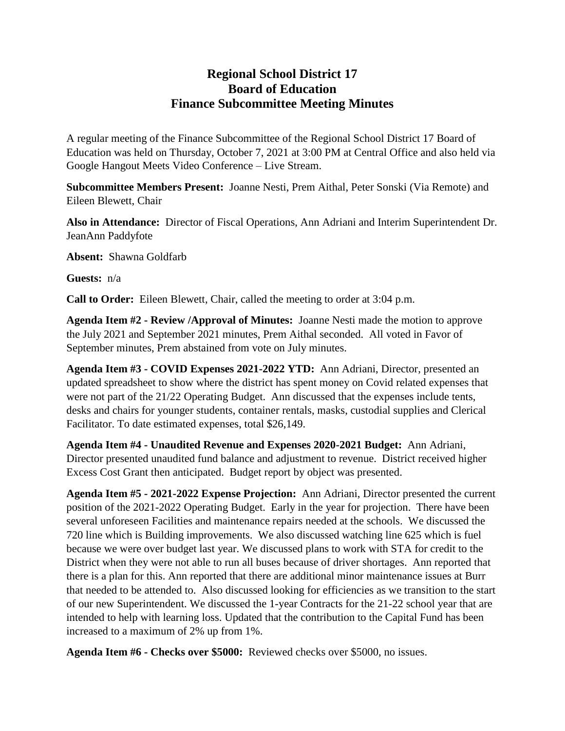## **Regional School District 17 Board of Education Finance Subcommittee Meeting Minutes**

A regular meeting of the Finance Subcommittee of the Regional School District 17 Board of Education was held on Thursday, October 7, 2021 at 3:00 PM at Central Office and also held via Google Hangout Meets Video Conference – Live Stream.

**Subcommittee Members Present:** Joanne Nesti, Prem Aithal, Peter Sonski (Via Remote) and Eileen Blewett, Chair

**Also in Attendance:** Director of Fiscal Operations, Ann Adriani and Interim Superintendent Dr. JeanAnn Paddyfote

**Absent:** Shawna Goldfarb

**Guests:** n/a

**Call to Order:** Eileen Blewett, Chair, called the meeting to order at 3:04 p.m.

**Agenda Item #2 - Review /Approval of Minutes:** Joanne Nesti made the motion to approve the July 2021 and September 2021 minutes, Prem Aithal seconded. All voted in Favor of September minutes, Prem abstained from vote on July minutes.

**Agenda Item #3 - COVID Expenses 2021-2022 YTD:** Ann Adriani, Director, presented an updated spreadsheet to show where the district has spent money on Covid related expenses that were not part of the 21/22 Operating Budget. Ann discussed that the expenses include tents, desks and chairs for younger students, container rentals, masks, custodial supplies and Clerical Facilitator. To date estimated expenses, total \$26,149.

**Agenda Item #4 - Unaudited Revenue and Expenses 2020-2021 Budget:** Ann Adriani, Director presented unaudited fund balance and adjustment to revenue. District received higher Excess Cost Grant then anticipated. Budget report by object was presented.

**Agenda Item #5 - 2021-2022 Expense Projection:** Ann Adriani, Director presented the current position of the 2021-2022 Operating Budget. Early in the year for projection. There have been several unforeseen Facilities and maintenance repairs needed at the schools. We discussed the 720 line which is Building improvements. We also discussed watching line 625 which is fuel because we were over budget last year. We discussed plans to work with STA for credit to the District when they were not able to run all buses because of driver shortages. Ann reported that there is a plan for this. Ann reported that there are additional minor maintenance issues at Burr that needed to be attended to. Also discussed looking for efficiencies as we transition to the start of our new Superintendent. We discussed the 1-year Contracts for the 21-22 school year that are intended to help with learning loss. Updated that the contribution to the Capital Fund has been increased to a maximum of 2% up from 1%.

**Agenda Item #6 - Checks over \$5000:** Reviewed checks over \$5000, no issues.